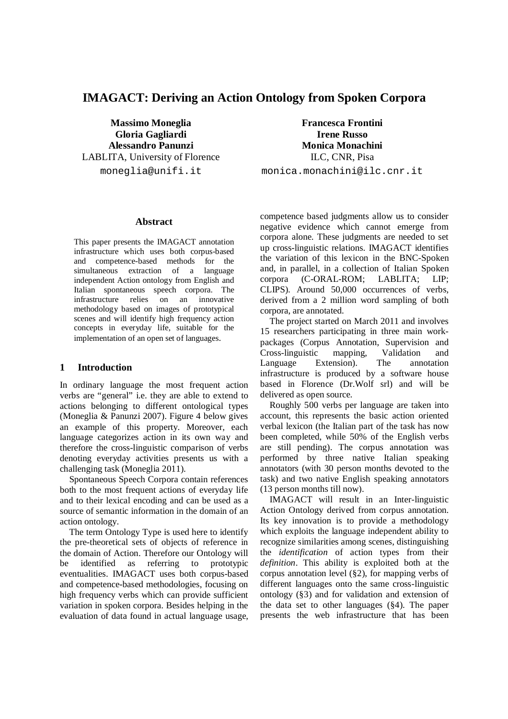# **IMAGACT: Deriving an Action Ontology from Spoken Corpora**

LABLITA, University of Florence ILC, CNR, Pisa

**Abstract**

This paper presents the IMAGACT annotation infrastructure which uses both corpus-based and competence-based methods for the simultaneous extraction of a language independent Action ontology from English and Italian spontaneous speech corpora. The infrastructure relies on an innovative methodology based on images of prototypical scenes and will identify high frequency action concepts in everyday life, suitable for the implementation of an open set of languages.

### **1 Introduction**

In ordinary language the most frequent action verbs are "general" i.e. they are able to extend to actions belonging to different ontological types (Moneglia & Panunzi 2007). Figure 4 below gives an example of this property. Moreover, each language categorizes action in its own way and therefore the cross-linguistic comparison of verbs denoting everyday activities presents us with a challenging task (Moneglia 2011).

Spontaneous Speech Corpora contain references both to the most frequent actions of everyday life and to their lexical encoding and can be used as a source of semantic information in the domain of an action ontology.

The term Ontology Type is used here to identify the pre-theoretical sets of objects of reference in the domain of Action. Therefore our Ontology will be identified as referring to prototypic eventualities. IMAGACT uses both corpus-based and competence-based methodologies, focusing on high frequency verbs which can provide sufficient variation in spoken corpora. Besides helping in the evaluation of data found in actual language usage,

**Massimo Moneglia Francesca Frontini Gloria Gagliardi Irene Russo Alessandro Panunzi Monica Monachini** moneglia@unifi.it monica.monachini@ilc.cnr.it

> competence based judgments allow us to consider negative evidence which cannot emerge from corpora alone. These judgments are needed to set up cross-linguistic relations. IMAGACT identifies the variation of this lexicon in the BNC-Spoken and, in parallel, in a collection of Italian Spoken<br>corpora (C-ORAL-ROM; LABLITA; LIP; corpora (C-ORAL-ROM; LABLITA; LIP; CLIPS). Around 50,000 occurrences of verbs, derived from a 2 million word sampling of both corpora, are annotated.

The project started on March 2011 and involves 15 researchers participating in three main workpackages (Corpus Annotation, Supervision and Cross-linguistic mapping, Validation and Language Extension). The annotation infrastructure is produced by a software house based in Florence (Dr.Wolf srl) and will be delivered as open source.

Roughly 500 verbs per language are taken into account, this represents the basic action oriented verbal lexicon (the Italian part of the task has now been completed, while 50% of the English verbs are still pending). The corpus annotation was performed by three native Italian speaking annotators (with 30 person months devoted to the task) and two native English speaking annotators (13 person months till now).

IMAGACT will result in an Inter-linguistic Action Ontology derived from corpus annotation. Its key innovation is to provide a methodology which exploits the language independent ability to recognize similarities among scenes, distinguishing the *identification* of action types from their *definition*. This ability is exploited both at the corpus annotation level (§2), for mapping verbs of different languages onto the same cross-linguistic ontology (§3) and for validation and extension of the data set to other languages (§4). The paper presents the web infrastructure that has been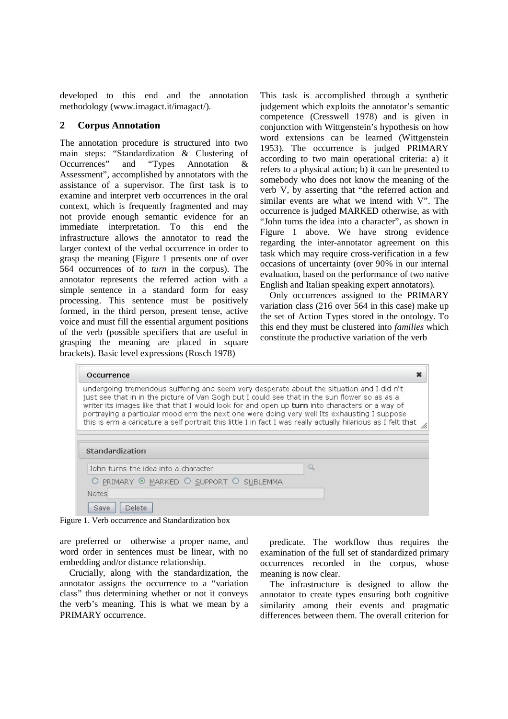developed to this end and the annotation methodology (www.imagact.it/imagact/).

## **2 Corpus Annotation**

The annotation procedure is structured into two main steps: "Standardization & Clustering of<br>Occurrences" and "Types Annotation & Occurrences" and "Types Annotation & Assessment", accomplished by annotators with the assistance of a supervisor. The first task is to examine and interpret verb occurrences in the oral context, which is frequently fragmented and may not provide enough semantic evidence for an immediate interpretation. To this end the infrastructure allows the annotator to read the larger context of the verbal occurrence in order to grasp the meaning (Figure 1 presents one of over 564 occurrences of *to turn* in the corpus). The annotator represents the referred action with a simple sentence in a standard form for easy processing. This sentence must be positively formed, in the third person, present tense, active voice and must fill the essential argument positions of the verb (possible specifiers that are useful in grasping the meaning are placed in square brackets). Basic level expressions (Rosch 1978)

This task is accomplished through a synthetic judgement which exploits the annotator's semantic competence (Cresswell 1978) and is given in conjunction with Wittgenstein's hypothesis on how word extensions can be learned (Wittgenstein 1953). The occurrence is judged PRIMARY according to two main operational criteria: a) it refers to a physical action; b) it can be presented to somebody who does not know the meaning of the verb V, by asserting that "the referred action and similar events are what we intend with V". The occurrence is judged MARKED otherwise, as with "John turns the idea into a character", as shown in Figure 1 above. We have strong evidence regarding the inter-annotator agreement on this task which may require cross-verification in a few occasions of uncertainty (over 90% in our internal evaluation, based on the performance of two native English and Italian speaking expert annotators).

Only occurrences assigned to the PRIMARY variation class (216 over 564 in this case) make up the set of Action Types stored in the ontology. To this end they must be clustered into *families* which constitute the productive variation of the verb

| Occurrence                                                                                                                                                                                                                                                                                                                                                                                                                                                                                                   |  |
|--------------------------------------------------------------------------------------------------------------------------------------------------------------------------------------------------------------------------------------------------------------------------------------------------------------------------------------------------------------------------------------------------------------------------------------------------------------------------------------------------------------|--|
| undergoing tremendous suffering and seem very desperate about the situation and I did n't<br>just see that in in the picture of Van Gogh but I could see that in the sun flower so as as a<br>writer its images like that that I would look for and open up turn into characters or a way of<br>portraying a particular mood erm the next one were doing very well Its exhausting I suppose<br>this is erm a caricature a self portrait this little I in fact I was really actually hilarious as I felt that |  |
|                                                                                                                                                                                                                                                                                                                                                                                                                                                                                                              |  |
|                                                                                                                                                                                                                                                                                                                                                                                                                                                                                                              |  |
| John turns the idea into a character                                                                                                                                                                                                                                                                                                                                                                                                                                                                         |  |
| O PRIMARY @ MARKED O SUPPORT O SUBLEMMA                                                                                                                                                                                                                                                                                                                                                                                                                                                                      |  |
| Standardization<br><b>Notes</b>                                                                                                                                                                                                                                                                                                                                                                                                                                                                              |  |

Figure 1. Verb occurrence and Standardization box

are preferred or otherwise a proper name, and word order in sentences must be linear, with no embedding and/or distance relationship.

Crucially, along with the standardization, the annotator assigns the occurrence to a "variation class" thus determining whether or not it conveys the verb's meaning. This is what we mean by a PRIMARY occurrence.

predicate. The workflow thus requires the examination of the full set of standardized primary occurrences recorded in the corpus, whose meaning is now clear.

The infrastructure is designed to allow the annotator to create types ensuring both cognitive similarity among their events and pragmatic differences between them. The overall criterion for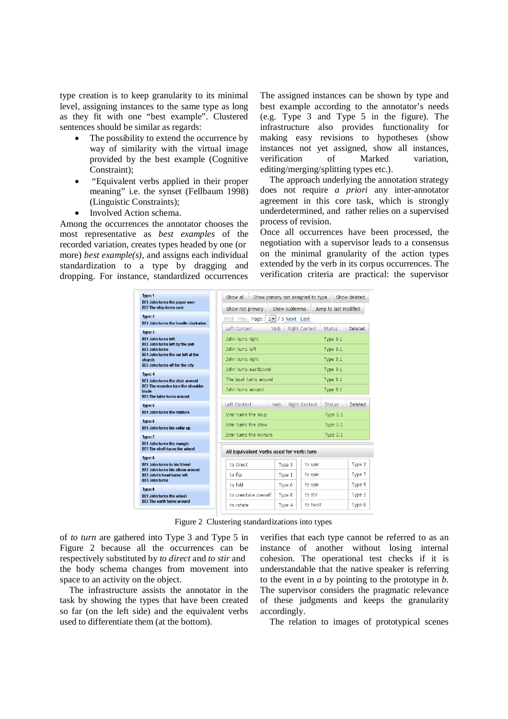type creation is to keep granularity to its minimal level, assigning instances to the same type as long as they fit with one "best example". Clustered sentences should be similar as regards:

- The possibility to extend the occurrence by way of similarity with the virtual image provided by the best example (Cognitive Constraint);
- "Equivalent verbs applied in their proper meaning" i.e. the synset (Fellbaum 1998) (Linguistic Constraints);
- Involved Action schema.

Among the occurrences the annotator chooses the most representative as *best examples* of the recorded variation, creates types headed by one (or more) *best example(s)*, and assigns each individual standardization to a type by dragging and dropping. For instance, standardized occurrences

The assigned instances can be shown by type and best example according to the annotator's needs (e.g. Type 3 and Type 5 in the figure). The infrastructure also provides functionality for making easy revisions to hypotheses (show instances not yet assigned, show all instances, verification of Marked variation, editing/merging/splitting types etc.).

The approach underlying the annotation strategy does not require *a priori* any inter-annotator agreement in this core task, which is strongly underdetermined, and rather relies on a supervised process of revision.

Once all occurrences have been processed, the negotiation with a supervisor leads to a consensus on the minimal granularity of the action types extended by the verb in its corpus occurrences. The verification criteria are practical: the supervisor

| Type: 1                                                                         | Show all                                 | Show primary not assigned to type |                          |  |  |
|---------------------------------------------------------------------------------|------------------------------------------|-----------------------------------|--------------------------|--|--|
| BE1 John turns the paper over<br>BE2 The ship turns over                        | Show not primary                         | Show sublemma                     | Jump to last modified    |  |  |
| Type: 2<br>BE1 John turns the handle clockwise                                  | First Prev. Page:                        | $1 \vee 75$ Next Last             |                          |  |  |
| Type: 3                                                                         | Left Context<br>Verb                     | Right Context                     | Deleted<br><b>Status</b> |  |  |
| <b>BE1 John turns left</b><br>BE2 John turns left by the pub                    | John turns right                         |                                   | Type 3.1<br>Type 3.1     |  |  |
| <b>BE3 John turns</b>                                                           | John turns left                          |                                   |                          |  |  |
| BE4 John turns the car left at the<br>church<br>BE5 John turns off for the city | John turns right                         |                                   | Type 3.1                 |  |  |
| Type: 4                                                                         | John turns eastbound                     |                                   | Type 3.1                 |  |  |
| <b>BE1 John turns the chair around</b>                                          | The boat turns around                    |                                   | Type 3.1                 |  |  |
| BE2 The muscles turn the shoulder<br>blade<br><b>BE3 The table turns around</b> | John turns around                        |                                   | Type 3.1                 |  |  |
| Type: 5                                                                         | Left Context<br>Verb.                    | Right Context                     | Deleted<br><b>Status</b> |  |  |
| <b>BE1 John turns the mixture</b>                                               | John turns the soup                      | Type 5.1                          |                          |  |  |
| Type: 6<br>BE1 John turns his collar up                                         | John turns the stew                      | Type 5.1                          |                          |  |  |
| Type: 7                                                                         | John turns the mixture                   |                                   | Type 5.1                 |  |  |
| <b>BE1 John turns the mangle</b><br><b>BF2</b> The shaft turns the wheel        | All Equivalent Verbs used for Verb: turn |                                   |                          |  |  |
| Type: 8                                                                         |                                          |                                   |                          |  |  |
| <b>BE1 John turns to his friend</b><br>BE2 John turns his elbow around          | to direct                                | to spin<br>Type 3                 | Type 2                   |  |  |
| <b>BE3 John's head turns left</b><br><b>BE4 John turns</b>                      | to flip                                  | to spin<br>Type 1                 | Type 7                   |  |  |
| Type: 9                                                                         | to fold                                  | to spin<br>Type 6                 | Type 9                   |  |  |
| <b>BE1 John turns the wheel</b>                                                 | to orientate oneself                     | to stir<br>Type 8                 | Type 5                   |  |  |
| BE2 The earth turns around                                                      | to rotate                                | to twist<br>Type 4                | Type 8                   |  |  |

Figure 2 Clustering standardizations into types

of *to turn* are gathered into Type 3 and Type 5 in Figure 2 because all the occurrences can be respectively substituted by *to direct* and *to stir* and the body schema changes from movement into space to an activity on the object.

The infrastructure assists the annotator in the task by showing the types that have been created so far (on the left side) and the equivalent verbs used to differentiate them (at the bottom).

verifies that each type cannot be referred to as an instance of another without losing internal cohesion. The operational test checks if it is understandable that the native speaker is referring to the event in *a* by pointing to the prototype in *b*. The supervisor considers the pragmatic relevance of these judgments and keeps the granularity accordingly.

The relation to images of prototypical scenes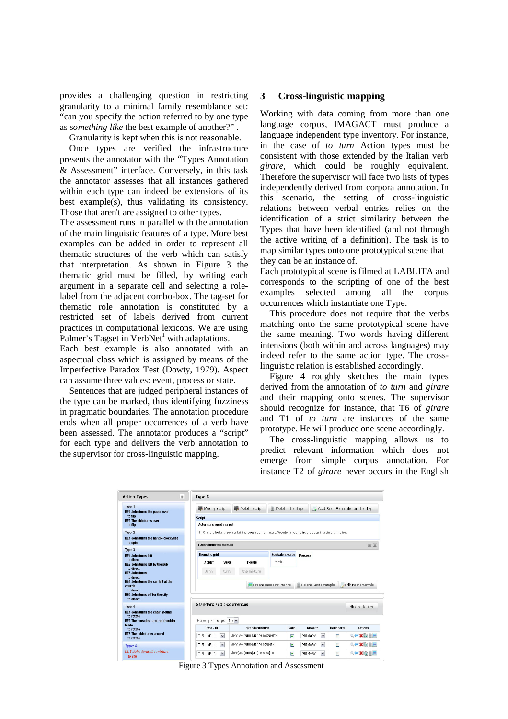provides a challenging question in restricting granularity to a minimal family resemblance set: "can you specify the action referred to by one type as *something like* the best example of another?" .

Granularity is kept when this is not reasonable.

Once types are verified the infrastructure presents the annotator with the "Types Annotation & Assessment" interface. Conversely, in this task the annotator assesses that all instances gathered within each type can indeed be extensions of its best example(s), thus validating its consistency. Those that aren't are assigned to other types.

The assessment runs in parallel with the annotation of the main linguistic features of a type. More best examples can be added in order to represent all thematic structures of the verb which can satisfy that interpretation. As shown in Figure 3 the thematic grid must be filled, by writing each argument in a separate cell and selecting a rolelabel from the adjacent combo-box. The tag-set for thematic role annotation is constituted by a restricted set of labels derived from current practices in computational lexicons. We are using Palmer's Tagset in  $VerbNet<sup>1</sup>$  with adaptations.

Each best example is also annotated with an aspectual class which is assigned by means of the Imperfective Paradox Test (Dowty, 1979). Aspect can assume three values: event, process or state.

Sentences that are judged peripheral instances of the type can be marked, thus identifying fuzziness in pragmatic boundaries. The annotation procedure ends when all proper occurrences of a verb have been assessed. The annotator produces a "script" for each type and delivers the verb annotation to the supervisor for cross-linguistic mapping.

### **3 Cross-linguistic mapping**

Working with data coming from more than one language corpus, IMAGACT must produce a language independent type inventory. For instance, in the case of *to turn* Action types must be consistent with those extended by the Italian verb *girare*, which could be roughly equivalent. Therefore the supervisor will face two lists of types independently derived from corpora annotation. In this scenario, the setting of cross-linguistic relations between verbal entries relies on the identification of a strict similarity between the Types that have been identified (and not through the active writing of a definition). The task is to map similar types onto one prototypical scene that they can be an instance of.

Each prototypical scene is filmed at LABLITA and corresponds to the scripting of one of the best examples selected among all the corpus occurrences which instantiate one Type.

This procedure does not require that the verbs matching onto the same prototypical scene have the same meaning. Two words having different intensions (both within and across languages) may indeed refer to the same action type. The crosslinguistic relation is established accordingly.

Figure 4 roughly sketches the main types derived from the annotation of *to turn* and *girare* and their mapping onto scenes. The supervisor should recognize for instance, that T6 of *girare* and T1 of *to turn* are instances of the same prototype. He will produce one scene accordingly.

The cross-linguistic mapping allows us to predict relevant information which does not emerge from simple corpus annotation. For instance T2 of *girare* never occurs in the English

| <b>Action Types</b><br>益                                                                                  | Type 5                                                            |                                                                                                          |                         |                         |            |                                |  |
|-----------------------------------------------------------------------------------------------------------|-------------------------------------------------------------------|----------------------------------------------------------------------------------------------------------|-------------------------|-------------------------|------------|--------------------------------|--|
| <b>Type: 1.</b><br>BE1 John turns the paper over                                                          | Modify script                                                     | Delete script                                                                                            | Delete this type        |                         |            | Add Best Example for this type |  |
| to flip                                                                                                   | <b>Script</b>                                                     |                                                                                                          |                         |                         |            |                                |  |
| BE2 The ship turns over<br>to flip                                                                        | Actor stirs liquid in a pot                                       |                                                                                                          |                         |                         |            |                                |  |
| <b>Type: 2 -</b>                                                                                          |                                                                   | #1 Camera looks at pot containing soup / some mixture. Wooden spoon stirs the soup in a circular motion. |                         |                         |            |                                |  |
| <b>BF1 John turns the handle clockwise</b><br>to spin                                                     | 1 John turns the mixture                                          |                                                                                                          |                         |                         |            |                                |  |
| Type: $3 -$                                                                                               |                                                                   |                                                                                                          |                         |                         |            | 云云                             |  |
| <b>BE1 John turns left</b>                                                                                | <b>Thematic grid</b>                                              |                                                                                                          | <b>Equivalent verbs</b> | <b>Process</b>          |            |                                |  |
| to direct<br>BE2 John turns left by the pub                                                               | <b>VERB</b><br><b>AGENT</b>                                       | <b>THEME</b>                                                                                             | to stir                 |                         |            |                                |  |
| to direct<br><b>BE3 John turns</b><br>to direct                                                           | John<br>turns                                                     | the mixture                                                                                              |                         |                         |            |                                |  |
| BE4 John turns the car left at the<br>church<br>to direct<br>BE5 John turns off for the city<br>to direct | Edit Best Example<br>Create new Occurrence<br>Delete Best Example |                                                                                                          |                         |                         |            |                                |  |
| Type: 4 -<br>BE1 John turns the chair around                                                              | Standardized Occurrences                                          |                                                                                                          |                         |                         |            | Hide validated                 |  |
| to rotate<br>BE2 The muscles turn the shoulder                                                            | Rows per page: 10 v                                               |                                                                                                          |                         |                         |            |                                |  |
| blade<br>to rotate                                                                                        | Type - BE                                                         | <b>Standardization</b>                                                                                   | Valid.                  | Move to                 | Peripheral | <b>Actions</b>                 |  |
| <b>BF3 The table turns around</b><br>to rotate                                                            | $T: 5 - BE: 1$<br>$\mathbf{v}$                                    | <b>Uchniae</b> [turns]vE [the mixture]тн                                                                 | $\blacktriangledown$    | PRIMARY<br>$\mathbf v$  | П          | QVX的单目                         |  |
|                                                                                                           | $\sim$<br>$T: 5 - BE: 1$                                          | Uchnjae [turns]ve [the soup]TH                                                                           | $\overline{\mathbf{v}}$ | $\checkmark$<br>PRIMARY | П          | QVX的重图                         |  |
| Type: $5 -$                                                                                               |                                                                   |                                                                                                          |                         |                         |            |                                |  |

Figure 3 Types Annotation and Assessment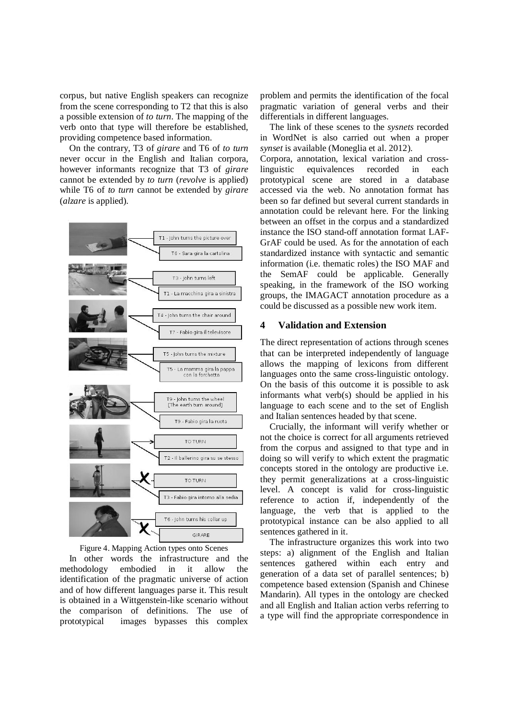corpus, but native English speakers can recognize from the scene corresponding to T2 that this is also a possible extension of *to turn*. The mapping of the verb onto that type will therefore be established, providing competence based information.

On the contrary, T3 of *girare* and T6 of *to turn* never occur in the English and Italian corpora, however informants recognize that T3 of *girare* cannot be extended by *to turn* (*revolve* is applied) while T6 of *to turn* cannot be extended by *girare* (*alzare* is applied).



Figure 4. Mapping Action types onto Scenes In other words the infrastructure and the methodology embodied in it allow the

identification of the pragmatic universe of action and of how different languages parse it. This result is obtained in a Wittgenstein-like scenario without the comparison of definitions. The use of prototypical images bypasses this complex

problem and permits the identification of the focal pragmatic variation of general verbs and their differentials in different languages.

The link of these scenes to the *sysnets* recorded in WordNet is also carried out when a proper *synset* is available (Moneglia et al. 2012).

Corpora, annotation, lexical variation and crosslinguistic equivalences recorded in each prototypical scene are stored in a database accessed via the web. No annotation format has been so far defined but several current standards in annotation could be relevant here. For the linking between an offset in the corpus and a standardized instance the ISO stand-off annotation format LAF-GrAF could be used. As for the annotation of each standardized instance with syntactic and semantic information (i.e. thematic roles) the ISO MAF and the SemAF could be applicable. Generally speaking, in the framework of the ISO working groups, the IMAGACT annotation procedure as a could be discussed as a possible new work item.

# **4 Validation and Extension**

The direct representation of actions through scenes that can be interpreted independently of language allows the mapping of lexicons from different languages onto the same cross-linguistic ontology. On the basis of this outcome it is possible to ask informants what verb(s) should be applied in his language to each scene and to the set of English and Italian sentences headed by that scene.

Crucially, the informant will verify whether or not the choice is correct for all arguments retrieved from the corpus and assigned to that type and in doing so will verify to which extent the pragmatic concepts stored in the ontology are productive i.e. they permit generalizations at a cross-linguistic level. A concept is valid for cross-linguistic reference to action if, independently of the language, the verb that is applied to the prototypical instance can be also applied to all sentences gathered in it.

The infrastructure organizes this work into two steps: a) alignment of the English and Italian sentences gathered within each entry and generation of a data set of parallel sentences; b) competence based extension (Spanish and Chinese Mandarin). All types in the ontology are checked and all English and Italian action verbs referring to a type will find the appropriate correspondence in